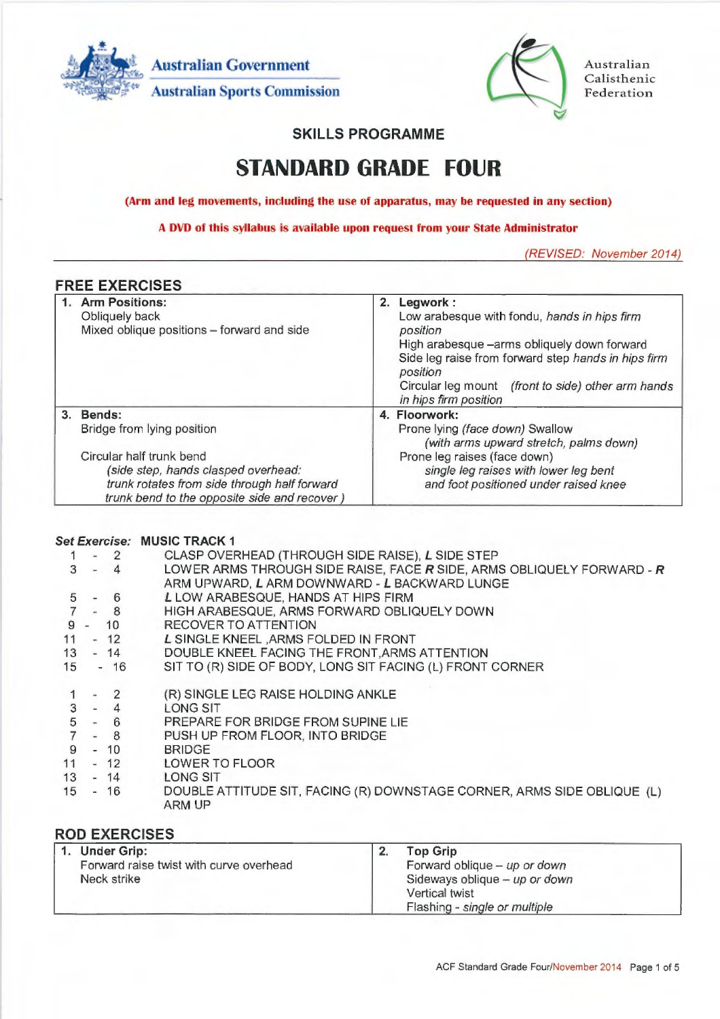**Australian Government Australian Sports Commission** 



Australian Calisthenic Federation

# **SKILLS PROGRAMME**

# **STANDARD GRADE FOUR**

**(Arm and leg movements, including the use of apparatus, may be requested in any section)** 

**A DVD of this syllabus is available upon request from your State Administrator** 

(REVISED: November 2014)

## **FREE EXERCISES**

| Low arabesque with fondu, hands in hips firm<br>position<br>High arabesque -arms obliquely down forward<br>Side leg raise from forward step hands in hips firm<br>position<br>Circular leg mount (front to side) other arm hands<br>in hips firm position |
|-----------------------------------------------------------------------------------------------------------------------------------------------------------------------------------------------------------------------------------------------------------|
| 4. Floorwork:<br>Prone lying (face down) Swallow<br>(with arms upward stretch, palms down)<br>Prone leg raises (face down)<br>single leg raises with lower leg bent<br>and foot positioned under raised knee                                              |
|                                                                                                                                                                                                                                                           |

#### **Set Exercise: MUSIC TRACK 1**

|    | $1 - 2$ | CLASP OVERHEAD (THROUGH SIDE RAISE), L SIDE STEP                        |
|----|---------|-------------------------------------------------------------------------|
|    | $3 - 4$ | LOWER ARMS THROUGH SIDE RAISE, FACE R SIDE, ARMS OBLIQUELY FORWARD - R  |
|    |         | ARM UPWARD, L ARM DOWNWARD - L BACKWARD LUNGE                           |
| 5  | $-6$    | L LOW ARABESQUE, HANDS AT HIPS FIRM                                     |
|    | $7 - 8$ | HIGH ARABESQUE, ARMS FORWARD OBLIQUELY DOWN                             |
| 9  | $- 10$  | RECOVER TO ATTENTION                                                    |
| 11 | $-12$   | L SINGLE KNEEL, ARMS FOLDED IN FRONT                                    |
| 13 | $-14$   | DOUBLE KNEEL FACING THE FRONT, ARMS ATTENTION                           |
| 15 | $-16$   | SIT TO (R) SIDE OF BODY, LONG SIT FACING (L) FRONT CORNER               |
|    |         |                                                                         |
|    | $-2$    | (R) SINGLE LEG RAISE HOLDING ANKLE                                      |
|    | $3 - 4$ | LONG SIT                                                                |
|    | $5 - 6$ | PREPARE FOR BRIDGE FROM SUPINE LIE                                      |
|    | $7 - 8$ | PUSH UP FROM FLOOR, INTO BRIDGE                                         |
| 9  | $-10$   | <b>BRIDGE</b>                                                           |
| 11 |         | - 12 LOWER TO FLOOR                                                     |
| 13 |         | - 14 LONG SIT                                                           |
| 15 | $-16$   | DOUBLE ATTITUDE SIT, FACING (R) DOWNSTAGE CORNER, ARMS SIDE OBLIQUE (L) |
|    |         | ARM UP                                                                  |
|    |         |                                                                         |

# **ROD EXERCISES**

| 1. Under Grip:                          | <b>Top Grip</b>                |
|-----------------------------------------|--------------------------------|
| Forward raise twist with curve overhead | Forward oblique - $up$ or down |
| Neck strike                             | Sideways oblique - up or down  |
|                                         | Vertical twist                 |
|                                         | Flashing - single or multiple  |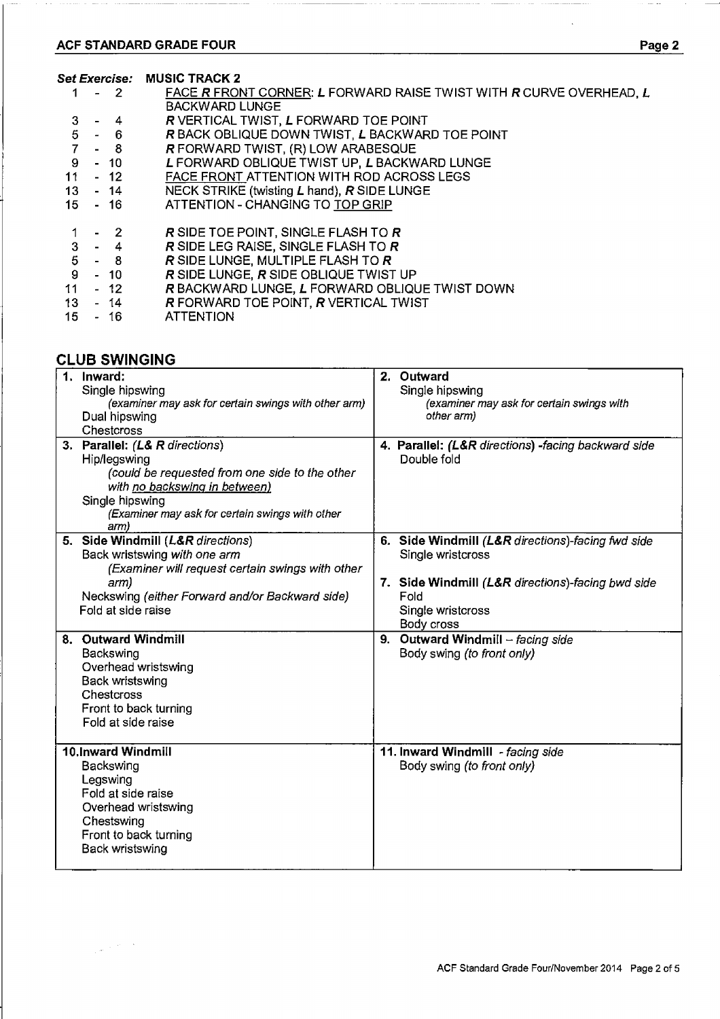# **ACF STANDARD GRADE FOUR Page 2**

#### **Set Exercise: MUSIC TRACK 2**

|    | $1 - 2$   | FACE R FRONT CORNER: L FORWARD RAISE TWIST WITH R CURVE OVERHEAD, L |
|----|-----------|---------------------------------------------------------------------|
|    |           | <b>BACKWARD LUNGE</b>                                               |
| 3  | $-4$      | R VERTICAL TWIST, L FORWARD TOE POINT                               |
|    | $5 - 6$   | R BACK OBLIQUE DOWN TWIST, L BACKWARD TOE POINT                     |
|    | $7 - 8$   | R FORWARD TWIST, (R) LOW ARABESQUE                                  |
|    | $9 - 10$  | L FORWARD OBLIQUE TWIST UP, L BACKWARD LUNGE                        |
| 11 | - 12      | FACE FRONT ATTENTION WITH ROD ACROSS LEGS                           |
|    | 13 - 14   | NECK STRIKE (twisting L hand), R SIDE LUNGE                         |
|    | 15 - 16   | ATTENTION - CHANGING TO TOP GRIP                                    |
|    | $-2$      | R SIDE TOE POINT, SINGLE FLASH TO R                                 |
|    | $3 - 4$   | R SIDE LEG RAISE, SINGLE FLASH TO R                                 |
|    | $5 - 8$   | R SIDE LUNGE, MULTIPLE FLASH TO R                                   |
|    | $9 - 10$  | R SIDE LUNGE, R SIDE OBLIQUE TWIST UP                               |
|    | $11 - 12$ | R BACKWARD LUNGE, L FORWARD OBLIQUE TWIST DOWN                      |
|    | $13 - 14$ | R FORWARD TOE POINT, R VERTICAL TWIST                               |
| 15 | $-16$     | <b>ATTENTION</b>                                                    |
|    |           |                                                                     |

# **CLUB SWINGING**

| 1. Inward:<br>Single hipswing<br>(examiner may ask for certain swings with other arm)<br>Dual hipswing<br>Chestcross                                                                                            | 2. Outward<br>Single hipswing<br>(examiner may ask for certain swings with<br>other arm)                                                                               |
|-----------------------------------------------------------------------------------------------------------------------------------------------------------------------------------------------------------------|------------------------------------------------------------------------------------------------------------------------------------------------------------------------|
| 3. Parallel: (L& R directions)<br>Hip/legswing<br>(could be requested from one side to the other<br>with no backswing in between)<br>Single hipswing<br>(Examiner may ask for certain swings with other<br>arm) | 4. Parallel: (L&R directions) -facing backward side<br>Double fold                                                                                                     |
| 5. Side Windmill (L&R directions)<br>Back wristswing with one arm<br>(Examiner will request certain swings with other<br>arm)<br>Neckswing (either Forward and/or Backward side)<br>Fold at side raise          | 6. Side Windmill (L&R directions)-facing fwd side<br>Single wristcross<br>7. Side Windmill (L&R directions)-facing bwd side<br>Fold<br>Single wristcross<br>Body cross |
| 8. Outward Windmill<br>Backswing<br>Overhead wristswing<br>Back wristswing<br>Chestcross<br>Front to back turning<br>Fold at side raise                                                                         | 9. Outward Windmill $-$ facing side<br>Body swing (to front only)                                                                                                      |
| 10.Inward Windmill<br>Backswing<br>Legswing<br>Fold at side raise<br>Overhead wristswing<br>Chestswing<br>Front to back turning<br>Back wristswing                                                              | 11. Inward Windmill - facing side<br>Body swing (to front only)                                                                                                        |

 $\rightarrow$   $\rightarrow$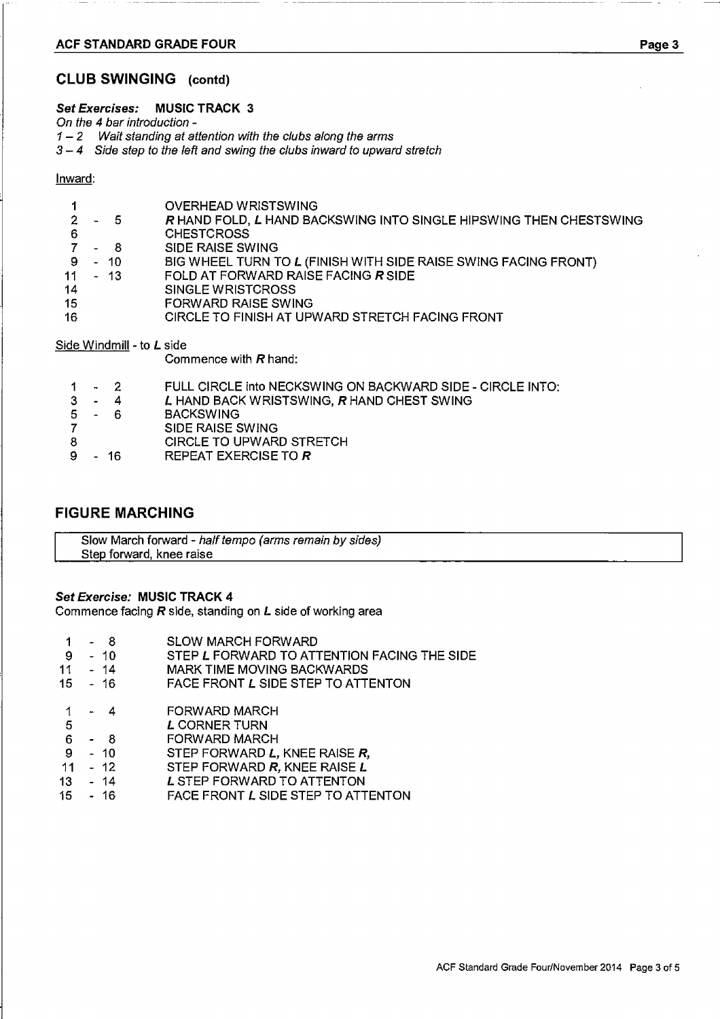#### **ACF STANDARD GRADE FOUR Page 3**

#### **CLUB SWINGING (contd)**

#### **Set Exercises: MUSIC TRACK 3**

On the 4 bar introduction -

 $1 - 2$  Wait standing at attention with the clubs along the arms

3 — 4 Side step to the left and swing the clubs inward to upward stretch

#### Inward:

|                 |      | OVERHEAD WRISTSWING                                                |
|-----------------|------|--------------------------------------------------------------------|
|                 | - 5  | R HAND FOLD, L HAND BACKSWING INTO SINGLE HIPSWING THEN CHESTSWING |
| -6              |      | <b>CHESTCROSS</b>                                                  |
|                 | - 8  | <b>SIDE RAISE SWING</b>                                            |
| - 9             | - 10 | BIG WHEEL TURN TO L (FINISH WITH SIDE RAISE SWING FACING FRONT)    |
| 11 <sub>1</sub> | - 13 | FOLD AT FORWARD RAISE FACING R SIDE                                |
| 14              |      | <b>SINGLE WRISTCROSS</b>                                           |
| 15              |      | <b>FORWARD RAISE SWING</b>                                         |
| 16              |      | CIRCLE TO FINISH AT UPWARD STRETCH FACING FRONT                    |
|                 |      |                                                                    |

Side Windmill - to **L** side

Commence with **R** hand:

|  |  | FULL CIRCLE into NECKSWING ON BACKWARD SIDE - CIRCLE INTO: |
|--|--|------------------------------------------------------------|
|--|--|------------------------------------------------------------|

- 3 4 **L** HAND BACK WRISTSWING, **R** HAND CHEST SWING
- 5 6 BACKSWING<br>7 SIDE RAISE S
- SIDE RAISE SWING
- 8 CIRCLE TO UPWARD STRETCH
- REPEAT EXERCISE TO **R**

### **FIGURE MARCHING**

Slow March forward - half tempo (arms remain by sides) Step forward, knee raise

#### **Set Exercise: MUSIC TRACK 4**

Commence facing **R** side, standing on **L** side of working area

- 1 8 SLOW MARCH FORWARD<br>9 10 STEP L FORWARD TO ATT
- 9 10 STEP **L** FORWARD TO ATTENTION FACING THE SIDE<br>11 14 MARK TIME MOVING BACKWARDS
- 11 14 MARK TIME MOVING BACKWARDS<br>15 16 FACE FRONT L SIDE STEP TO ATT
- FACE FRONT L SIDE STEP TO ATTENTON
- 1 4 FORWARD MARCH<br>5 L CORNER TURN
- 5 **L CORNER TURN**<br>6 8 FORWARD MARC
- 6 8 FORWARD MARCH<br>9 10 STEP FORWARD L,
- 9 10 STEP FORWARD **L,** KNEE RAISE **R,**
- **11**  12 STEP FORWARD **R,** KNEE RAISE **L**
- 13 14 **L** STEP FORWARD TO ATTENTON
- **FACE FRONT L SIDE STEP TO ATTENTON**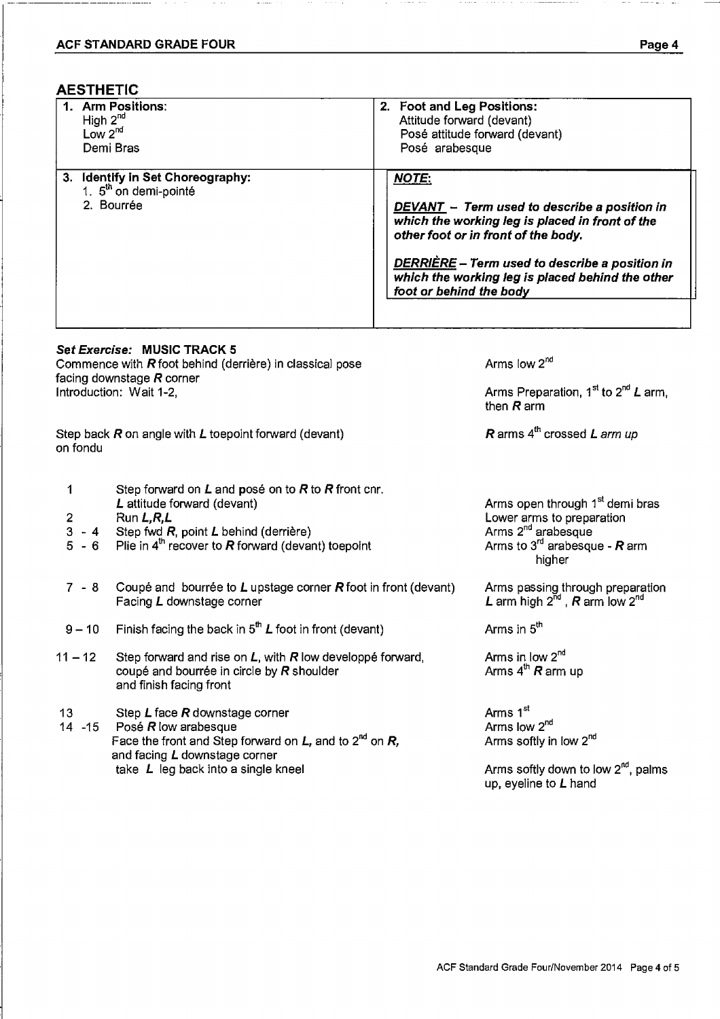## **AESTHETIC**

| <b>Arm Positions:</b><br>High $2^{nd}$<br>Low $2^{nd}$<br>Demi Bras                           | 2. Foot and Leg Positions:<br>Attitude forward (devant)<br>Posé attitude forward (devant)<br>Posé arabesque                                                                                                                                                                             |
|-----------------------------------------------------------------------------------------------|-----------------------------------------------------------------------------------------------------------------------------------------------------------------------------------------------------------------------------------------------------------------------------------------|
| <b>Identify in Set Choreography:</b><br>3.<br>1. 5 <sup>th</sup> on demi-pointé<br>2. Bourrée | <b>NOTE:</b><br>DEVANT - Term used to describe a position in<br>which the working leg is placed in front of the<br>other foot or in front of the body.<br>DERRIÈRE - Term used to describe a position in<br>which the working leg is placed behind the other<br>foot or behind the body |
| Set Exercise: MUSIC TRACK 5<br>Commence with $R$ foot behind (derrière) in classical pose     | Arms low $2^{nd}$                                                                                                                                                                                                                                                                       |

imence with  $R$  foot behind (derriere) in classical pose facing downstage **R** corner Introduction: Wait 1-2,

Step back **R** on angle with **L** toepoint forward (devant) on fondu

- 1 Step forward on **L** and pose on to **R** to **R** front cnr. **L** attitude forward (devant)
- 2 Run **L,R,L**
- $3 4$ Step fwd *R*, point *L* behind (derrière)
- $5 6$ Plie in **4th** recover to **R** forward (devant) toepoint
- 7 8 Coupe and bourree to **L** upstage corner **R** foot in front (devant) Facing **L** downstage corner
- 9 10 Finish facing the back in  $5<sup>th</sup> L$  foot in front (devant)
- 11 12 Step forward and rise on **L,** with **R** low developpe forward, coupe and bourree in circle by **R** shoulder and finish facing front
- 13 Step **L** face **R** downstage corner
- Posé *R* low arabesque Face the front and Step forward on **L**, and to 2<sup>nd</sup> on **R**, and facing **L** downstage corner take **L** leg back into a single kneel

Arms open through 1<sup>st</sup> demi bras Lower arms to preparation Arms 2<sup>nd</sup> arabesque Arms to **3rd** arabesque - **R** arm higher

Arms Preparation, 1<sup>st</sup> to 2<sup>nd</sup> *L* arm,

**R** arms **4th** crossed **L** arm up

Arms passing through preparation **L** arm high **2nd, R** arm low **2nd** 

Arms in **5th** 

then **R** arm

Arms in low **2nd**  Arms **4th R** arm up

Arms 1<sup>st</sup> Arms low **2nd**  Arms softly in low **2nd** 

Arms softly down to low  $2^{nd}$ , palms up, eyeline to **L** hand